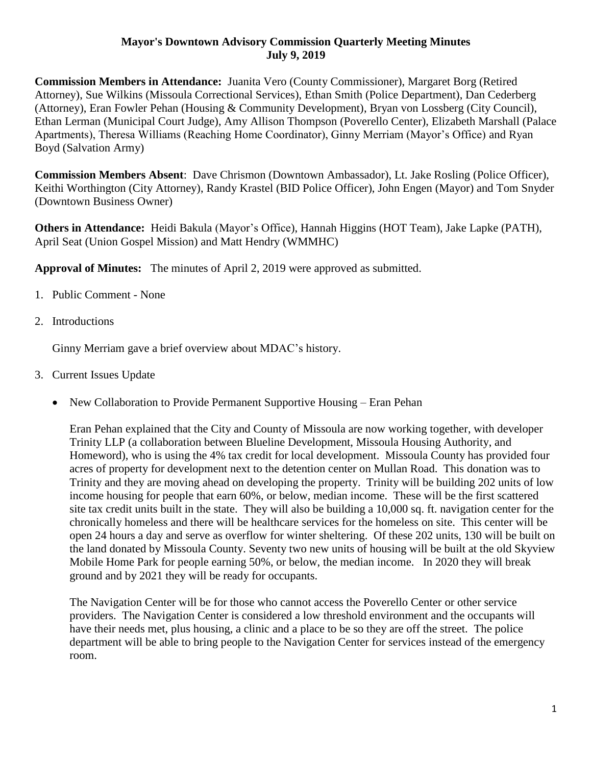## **Mayor's Downtown Advisory Commission Quarterly Meeting Minutes July 9, 2019**

**Commission Members in Attendance:** Juanita Vero (County Commissioner), Margaret Borg (Retired Attorney), Sue Wilkins (Missoula Correctional Services), Ethan Smith (Police Department), Dan Cederberg (Attorney), Eran Fowler Pehan (Housing & Community Development), Bryan von Lossberg (City Council), Ethan Lerman (Municipal Court Judge), Amy Allison Thompson (Poverello Center), Elizabeth Marshall (Palace Apartments), Theresa Williams (Reaching Home Coordinator), Ginny Merriam (Mayor's Office) and Ryan Boyd (Salvation Army)

**Commission Members Absent**: Dave Chrismon (Downtown Ambassador), Lt. Jake Rosling (Police Officer), Keithi Worthington (City Attorney), Randy Krastel (BID Police Officer), John Engen (Mayor) and Tom Snyder (Downtown Business Owner)

**Others in Attendance:** Heidi Bakula (Mayor's Office), Hannah Higgins (HOT Team), Jake Lapke (PATH), April Seat (Union Gospel Mission) and Matt Hendry (WMMHC)

**Approval of Minutes:** The minutes of April 2, 2019 were approved as submitted.

- 1. Public Comment None
- 2. Introductions

Ginny Merriam gave a brief overview about MDAC's history.

- 3. Current Issues Update
	- New Collaboration to Provide Permanent Supportive Housing Eran Pehan

Eran Pehan explained that the City and County of Missoula are now working together, with developer Trinity LLP (a collaboration between Blueline Development, Missoula Housing Authority, and Homeword), who is using the 4% tax credit for local development. Missoula County has provided four acres of property for development next to the detention center on Mullan Road. This donation was to Trinity and they are moving ahead on developing the property. Trinity will be building 202 units of low income housing for people that earn 60%, or below, median income. These will be the first scattered site tax credit units built in the state. They will also be building a 10,000 sq. ft. navigation center for the chronically homeless and there will be healthcare services for the homeless on site. This center will be open 24 hours a day and serve as overflow for winter sheltering. Of these 202 units, 130 will be built on the land donated by Missoula County. Seventy two new units of housing will be built at the old Skyview Mobile Home Park for people earning 50%, or below, the median income. In 2020 they will break ground and by 2021 they will be ready for occupants.

The Navigation Center will be for those who cannot access the Poverello Center or other service providers. The Navigation Center is considered a low threshold environment and the occupants will have their needs met, plus housing, a clinic and a place to be so they are off the street. The police department will be able to bring people to the Navigation Center for services instead of the emergency room.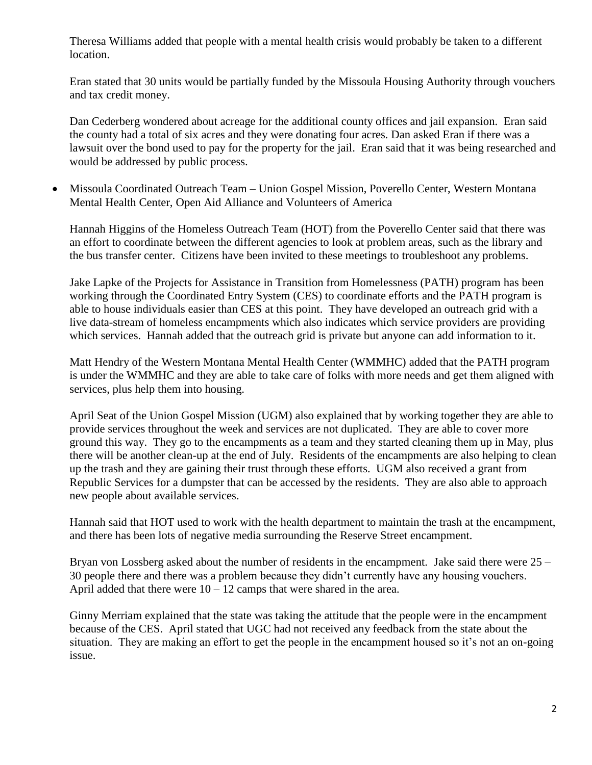Theresa Williams added that people with a mental health crisis would probably be taken to a different location.

Eran stated that 30 units would be partially funded by the Missoula Housing Authority through vouchers and tax credit money.

Dan Cederberg wondered about acreage for the additional county offices and jail expansion. Eran said the county had a total of six acres and they were donating four acres. Dan asked Eran if there was a lawsuit over the bond used to pay for the property for the jail. Eran said that it was being researched and would be addressed by public process.

 Missoula Coordinated Outreach Team – Union Gospel Mission, Poverello Center, Western Montana Mental Health Center, Open Aid Alliance and Volunteers of America

Hannah Higgins of the Homeless Outreach Team (HOT) from the Poverello Center said that there was an effort to coordinate between the different agencies to look at problem areas, such as the library and the bus transfer center. Citizens have been invited to these meetings to troubleshoot any problems.

Jake Lapke of the Projects for Assistance in Transition from Homelessness (PATH) program has been working through the Coordinated Entry System (CES) to coordinate efforts and the PATH program is able to house individuals easier than CES at this point. They have developed an outreach grid with a live data-stream of homeless encampments which also indicates which service providers are providing which services. Hannah added that the outreach grid is private but anyone can add information to it.

Matt Hendry of the Western Montana Mental Health Center (WMMHC) added that the PATH program is under the WMMHC and they are able to take care of folks with more needs and get them aligned with services, plus help them into housing.

April Seat of the Union Gospel Mission (UGM) also explained that by working together they are able to provide services throughout the week and services are not duplicated. They are able to cover more ground this way. They go to the encampments as a team and they started cleaning them up in May, plus there will be another clean-up at the end of July. Residents of the encampments are also helping to clean up the trash and they are gaining their trust through these efforts. UGM also received a grant from Republic Services for a dumpster that can be accessed by the residents. They are also able to approach new people about available services.

Hannah said that HOT used to work with the health department to maintain the trash at the encampment, and there has been lots of negative media surrounding the Reserve Street encampment.

Bryan von Lossberg asked about the number of residents in the encampment. Jake said there were  $25 -$ 30 people there and there was a problem because they didn't currently have any housing vouchers. April added that there were  $10 - 12$  camps that were shared in the area.

Ginny Merriam explained that the state was taking the attitude that the people were in the encampment because of the CES. April stated that UGC had not received any feedback from the state about the situation. They are making an effort to get the people in the encampment housed so it's not an on-going issue.